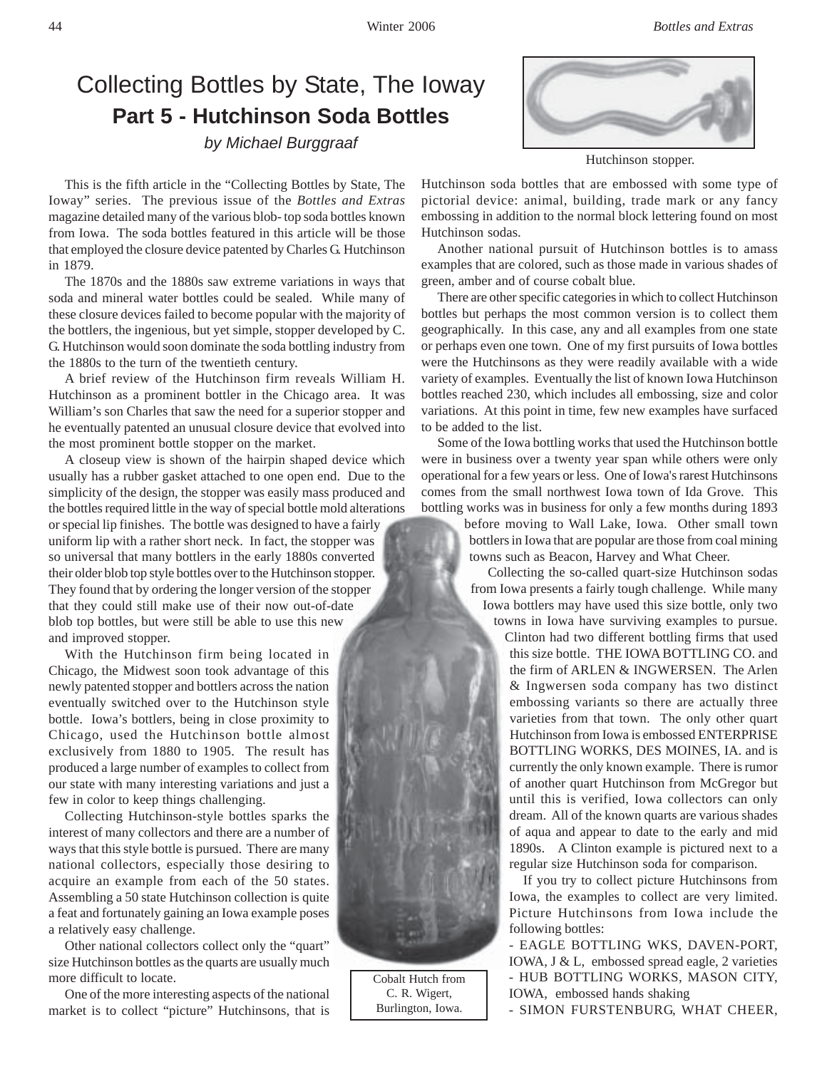# Collecting Bottles by State, The Ioway **Part 5 - Hutchinson Soda Bottles**

# *by Michael Burggraaf*

This is the fifth article in the "Collecting Bottles by State, The Ioway" series. The previous issue of the *Bottles and Extras* magazine detailed many of the various blob- top soda bottles known from Iowa. The soda bottles featured in this article will be those that employed the closure device patented by Charles G. Hutchinson in 1879.

The 1870s and the 1880s saw extreme variations in ways that soda and mineral water bottles could be sealed. While many of these closure devices failed to become popular with the majority of the bottlers, the ingenious, but yet simple, stopper developed by C. G. Hutchinson would soon dominate the soda bottling industry from the 1880s to the turn of the twentieth century.

A brief review of the Hutchinson firm reveals William H. Hutchinson as a prominent bottler in the Chicago area. It was William's son Charles that saw the need for a superior stopper and he eventually patented an unusual closure device that evolved into the most prominent bottle stopper on the market.

A closeup view is shown of the hairpin shaped device which usually has a rubber gasket attached to one open end. Due to the simplicity of the design, the stopper was easily mass produced and the bottles required little in the way of special bottle mold alterations or special lip finishes. The bottle was designed to have a fairly uniform lip with a rather short neck. In fact, the stopper was so universal that many bottlers in the early 1880s converted their older blob top style bottles over to the Hutchinson stopper. They found that by ordering the longer version of the stopper that they could still make use of their now out-of-date blob top bottles, but were still be able to use this new and improved stopper.

With the Hutchinson firm being located in Chicago, the Midwest soon took advantage of this newly patented stopper and bottlers across the nation eventually switched over to the Hutchinson style bottle. Iowa's bottlers, being in close proximity to Chicago, used the Hutchinson bottle almost exclusively from 1880 to 1905. The result has produced a large number of examples to collect from our state with many interesting variations and just a few in color to keep things challenging.

Collecting Hutchinson-style bottles sparks the interest of many collectors and there are a number of ways that this style bottle is pursued. There are many national collectors, especially those desiring to acquire an example from each of the 50 states. Assembling a 50 state Hutchinson collection is quite a feat and fortunately gaining an Iowa example poses a relatively easy challenge.

Other national collectors collect only the "quart" size Hutchinson bottles as the quarts are usually much more difficult to locate.

One of the more interesting aspects of the national market is to collect "picture" Hutchinsons, that is



Hutchinson stopper.

Hutchinson soda bottles that are embossed with some type of pictorial device: animal, building, trade mark or any fancy embossing in addition to the normal block lettering found on most Hutchinson sodas.

Another national pursuit of Hutchinson bottles is to amass examples that are colored, such as those made in various shades of green, amber and of course cobalt blue.

There are other specific categories in which to collect Hutchinson bottles but perhaps the most common version is to collect them geographically. In this case, any and all examples from one state or perhaps even one town. One of my first pursuits of Iowa bottles were the Hutchinsons as they were readily available with a wide variety of examples. Eventually the list of known Iowa Hutchinson bottles reached 230, which includes all embossing, size and color variations. At this point in time, few new examples have surfaced to be added to the list.

Some of the Iowa bottling works that used the Hutchinson bottle were in business over a twenty year span while others were only operational for a few years or less. One of Iowa's rarest Hutchinsons comes from the small northwest Iowa town of Ida Grove. This bottling works was in business for only a few months during 1893

before moving to Wall Lake, Iowa. Other small town bottlers in Iowa that are popular are those from coal mining towns such as Beacon, Harvey and What Cheer.

 Collecting the so-called quart-size Hutchinson sodas from Iowa presents a fairly tough challenge. While many Iowa bottlers may have used this size bottle, only two towns in Iowa have surviving examples to pursue.

Clinton had two different bottling firms that used this size bottle. THE IOWA BOTTLING CO. and the firm of ARLEN & INGWERSEN. The Arlen & Ingwersen soda company has two distinct embossing variants so there are actually three varieties from that town. The only other quart Hutchinson from Iowa is embossed ENTERPRISE BOTTLING WORKS, DES MOINES, IA. and is currently the only known example. There is rumor of another quart Hutchinson from McGregor but until this is verified, Iowa collectors can only dream. All of the known quarts are various shades of aqua and appear to date to the early and mid 1890s. A Clinton example is pictured next to a regular size Hutchinson soda for comparison.

 If you try to collect picture Hutchinsons from Iowa, the examples to collect are very limited. Picture Hutchinsons from Iowa include the following bottles:

- EAGLE BOTTLING WKS, DAVEN-PORT, IOWA, J & L, embossed spread eagle, 2 varieties - HUB BOTTLING WORKS, MASON CITY, IOWA, embossed hands shaking

- SIMON FURSTENBURG, WHAT CHEER,



Cobalt Hutch from C. R. Wigert, Burlington, Iowa.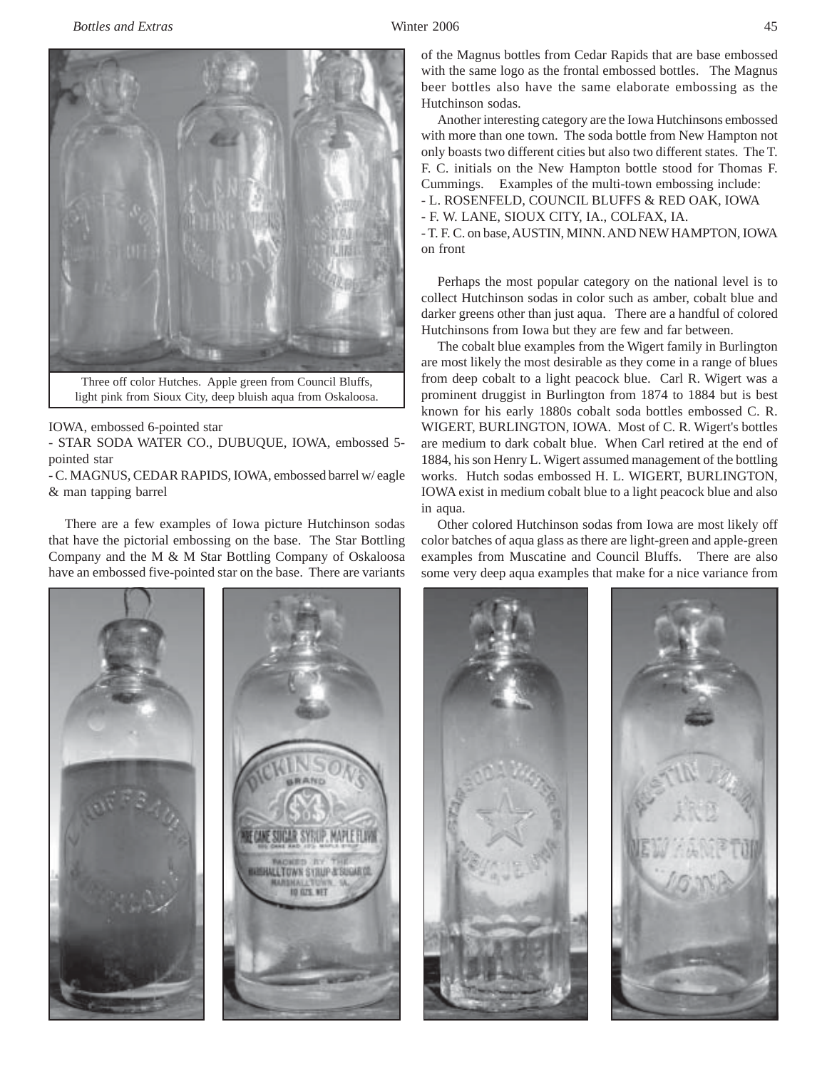

Three off color Hutches. Apple green from Council Bluffs, light pink from Sioux City, deep bluish aqua from Oskaloosa.

## IOWA, embossed 6-pointed star

- STAR SODA WATER CO., DUBUQUE, IOWA, embossed 5 pointed star

- C. MAGNUS, CEDAR RAPIDS, IOWA, embossed barrel w/ eagle & man tapping barrel

There are a few examples of Iowa picture Hutchinson sodas that have the pictorial embossing on the base. The Star Bottling Company and the M & M Star Bottling Company of Oskaloosa have an embossed five-pointed star on the base. There are variants



Another interesting category are the Iowa Hutchinsons embossed with more than one town. The soda bottle from New Hampton not only boasts two different cities but also two different states. The T. F. C. initials on the New Hampton bottle stood for Thomas F. Cummings. Examples of the multi-town embossing include: - L. ROSENFELD, COUNCIL BLUFFS & RED OAK, IOWA - F. W. LANE, SIOUX CITY, IA., COLFAX, IA. - T. F. C. on base, AUSTIN, MINN. AND NEW HAMPTON, IOWA on front

Perhaps the most popular category on the national level is to collect Hutchinson sodas in color such as amber, cobalt blue and darker greens other than just aqua. There are a handful of colored Hutchinsons from Iowa but they are few and far between.

The cobalt blue examples from the Wigert family in Burlington are most likely the most desirable as they come in a range of blues from deep cobalt to a light peacock blue. Carl R. Wigert was a prominent druggist in Burlington from 1874 to 1884 but is best known for his early 1880s cobalt soda bottles embossed C. R. WIGERT, BURLINGTON, IOWA. Most of C. R. Wigert's bottles are medium to dark cobalt blue. When Carl retired at the end of 1884, his son Henry L. Wigert assumed management of the bottling works. Hutch sodas embossed H. L. WIGERT, BURLINGTON, IOWA exist in medium cobalt blue to a light peacock blue and also in aqua.

Other colored Hutchinson sodas from Iowa are most likely off color batches of aqua glass as there are light-green and apple-green examples from Muscatine and Council Bluffs. There are also some very deep aqua examples that make for a nice variance from